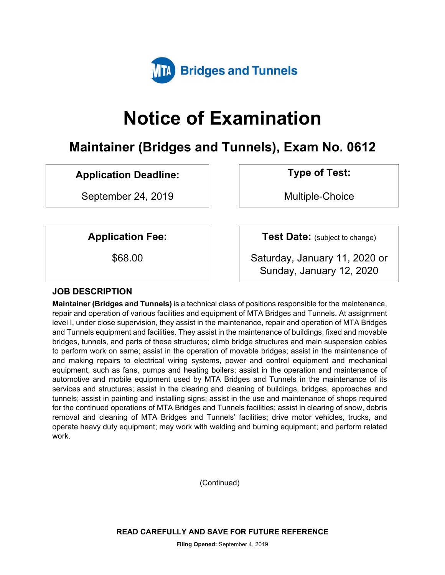

# **Notice of Examination**

# **Maintainer (Bridges and Tunnels), Exam No. 0612**

# **Application Deadline: Type of Test:**

September 24, 2019 and the Multiple-Choice

**Application Fee:**  $\vert$  **Test Date:** (subject to change)

\$68.00 Saturday, January 11, 2020 or Sunday, January 12, 2020

### **JOB DESCRIPTION**

**Maintainer (Bridges and Tunnels)** is a technical class of positions responsible for the maintenance, repair and operation of various facilities and equipment of MTA Bridges and Tunnels. At assignment level I, under close supervision, they assist in the maintenance, repair and operation of MTA Bridges and Tunnels equipment and facilities. They assist in the maintenance of buildings, fixed and movable bridges, tunnels, and parts of these structures; climb bridge structures and main suspension cables to perform work on same; assist in the operation of movable bridges; assist in the maintenance of and making repairs to electrical wiring systems, power and control equipment and mechanical equipment, such as fans, pumps and heating boilers; assist in the operation and maintenance of automotive and mobile equipment used by MTA Bridges and Tunnels in the maintenance of its services and structures; assist in the clearing and cleaning of buildings, bridges, approaches and tunnels; assist in painting and installing signs; assist in the use and maintenance of shops required for the continued operations of MTA Bridges and Tunnels facilities; assist in clearing of snow, debris removal and cleaning of MTA Bridges and Tunnels' facilities; drive motor vehicles, trucks, and operate heavy duty equipment; may work with welding and burning equipment; and perform related work.

(Continued)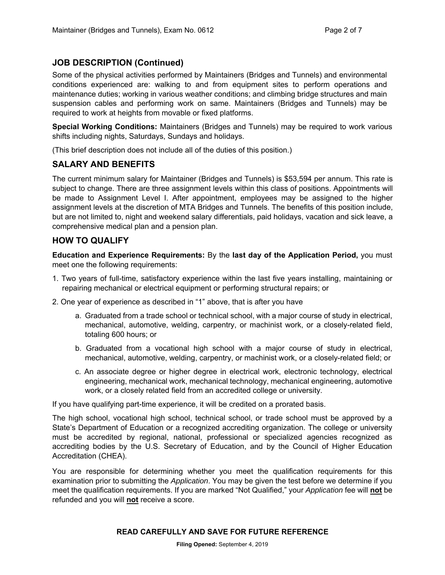# **JOB DESCRIPTION (Continued)**

Some of the physical activities performed by Maintainers (Bridges and Tunnels) and environmental conditions experienced are: walking to and from equipment sites to perform operations and maintenance duties; working in various weather conditions; and climbing bridge structures and main suspension cables and performing work on same. Maintainers (Bridges and Tunnels) may be required to work at heights from movable or fixed platforms.

**Special Working Conditions:** Maintainers (Bridges and Tunnels) may be required to work various shifts including nights, Saturdays, Sundays and holidays.

(This brief description does not include all of the duties of this position.)

### **SALARY AND BENEFITS**

The current minimum salary for Maintainer (Bridges and Tunnels) is \$53,594 per annum. This rate is subject to change. There are three assignment levels within this class of positions. Appointments will be made to Assignment Level I. After appointment, employees may be assigned to the higher assignment levels at the discretion of MTA Bridges and Tunnels. The benefits of this position include, but are not limited to, night and weekend salary differentials, paid holidays, vacation and sick leave, a comprehensive medical plan and a pension plan.

### **HOW TO QUALIFY**

**Education and Experience Requirements:** By the **last day of the Application Period,** you must meet one the following requirements:

- 1. Two years of full-time, satisfactory experience within the last five years installing, maintaining or repairing mechanical or electrical equipment or performing structural repairs; or
- 2. One year of experience as described in "1" above, that is after you have
	- a. Graduated from a trade school or technical school, with a major course of study in electrical, mechanical, automotive, welding, carpentry, or machinist work, or a closely-related field, totaling 600 hours; or
	- b. Graduated from a vocational high school with a major course of study in electrical, mechanical, automotive, welding, carpentry, or machinist work, or a closely-related field; or
	- c. An associate degree or higher degree in electrical work, electronic technology, electrical engineering, mechanical work, mechanical technology, mechanical engineering, automotive work, or a closely related field from an accredited college or university.

If you have qualifying part-time experience, it will be credited on a prorated basis.

The high school, vocational high school, technical school, or trade school must be approved by a State's Department of Education or a recognized accrediting organization. The college or university must be accredited by regional, national, professional or specialized agencies recognized as accrediting bodies by the U.S. Secretary of Education, and by the Council of Higher Education Accreditation (CHEA).

You are responsible for determining whether you meet the qualification requirements for this examination prior to submitting the *Application*. You may be given the test before we determine if you meet the qualification requirements. If you are marked "Not Qualified," your *Application* fee will **not** be refunded and you will **not** receive a score.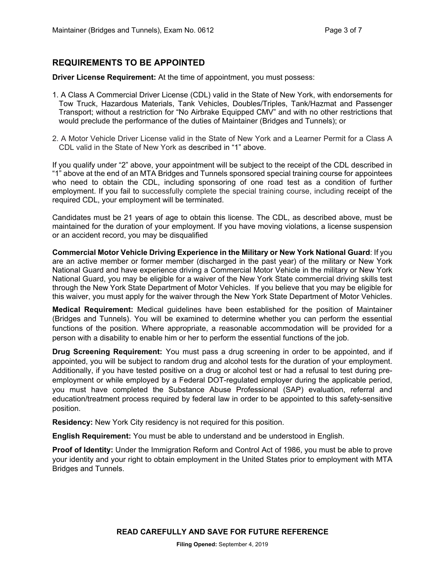# **REQUIREMENTS TO BE APPOINTED**

**Driver License Requirement:** At the time of appointment, you must possess:

- 1. A Class A Commercial Driver License (CDL) valid in the State of New York, with endorsements for Tow Truck, Hazardous Materials, Tank Vehicles, Doubles/Triples, Tank/Hazmat and Passenger Transport; without a restriction for "No Airbrake Equipped CMV" and with no other restrictions that would preclude the performance of the duties of Maintainer (Bridges and Tunnels); or
- 2. A Motor Vehicle Driver License valid in the State of New York and a Learner Permit for a Class A CDL valid in the State of New York as described in "1" above.

If you qualify under "2" above, your appointment will be subject to the receipt of the CDL described in "1" above at the end of an MTA Bridges and Tunnels sponsored special training course for appointees who need to obtain the CDL, including sponsoring of one road test as a condition of further employment. If you fail to successfully complete the special training course, including receipt of the required CDL, your employment will be terminated.

Candidates must be 21 years of age to obtain this license. The CDL, as described above, must be maintained for the duration of your employment. If you have moving violations, a license suspension or an accident record, you may be disqualified

**Commercial Motor Vehicle Driving Experience in the Military or New York National Guard**: If you are an active member or former member (discharged in the past year) of the military or New York National Guard and have experience driving a Commercial Motor Vehicle in the military or New York National Guard, you may be eligible for a waiver of the New York State commercial driving skills test through the New York State Department of Motor Vehicles. If you believe that you may be eligible for this waiver, you must apply for the waiver through the New York State Department of Motor Vehicles.

**Medical Requirement:** Medical guidelines have been established for the position of Maintainer (Bridges and Tunnels). You will be examined to determine whether you can perform the essential functions of the position. Where appropriate, a reasonable accommodation will be provided for a person with a disability to enable him or her to perform the essential functions of the job.

**Drug Screening Requirement:** You must pass a drug screening in order to be appointed, and if appointed, you will be subject to random drug and alcohol tests for the duration of your employment. Additionally, if you have tested positive on a drug or alcohol test or had a refusal to test during preemployment or while employed by a Federal DOT-regulated employer during the applicable period, you must have completed the Substance Abuse Professional (SAP) evaluation, referral and education/treatment process required by federal law in order to be appointed to this safety-sensitive position.

**Residency:** New York City residency is not required for this position.

**English Requirement:** You must be able to understand and be understood in English.

**Proof of Identity:** Under the Immigration Reform and Control Act of 1986, you must be able to prove your identity and your right to obtain employment in the United States prior to employment with MTA Bridges and Tunnels.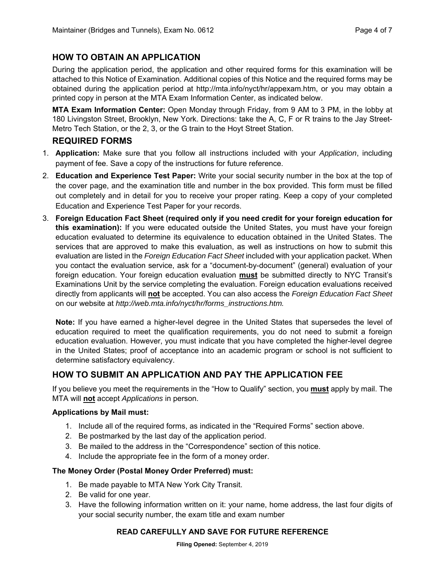# **HOW TO OBTAIN AN APPLICATION**

During the application period, the application and other required forms for this examination will be attached to this Notice of Examination. Additional copies of this Notice and the required forms may be obtained during the application period at http://mta.info/nyct/hr/appexam.htm, or you may obtain a printed copy in person at the MTA Exam Information Center, as indicated below.

**MTA Exam Information Center:** Open Monday through Friday, from 9 AM to 3 PM, in the lobby at 180 Livingston Street, Brooklyn, New York. Directions: take the A, C, F or R trains to the Jay Street-Metro Tech Station, or the 2, 3, or the G train to the Hoyt Street Station.

### **REQUIRED FORMS**

- 1. **Application:** Make sure that you follow all instructions included with your *Application*, including payment of fee. Save a copy of the instructions for future reference.
- 2. **Education and Experience Test Paper:** Write your social security number in the box at the top of the cover page, and the examination title and number in the box provided. This form must be filled out completely and in detail for you to receive your proper rating. Keep a copy of your completed Education and Experience Test Paper for your records.
- 3. **Foreign Education Fact Sheet (required only if you need credit for your foreign education for this examination):** If you were educated outside the United States, you must have your foreign education evaluated to determine its equivalence to education obtained in the United States. The services that are approved to make this evaluation, as well as instructions on how to submit this evaluation are listed in the *Foreign Education Fact Sheet* included with your application packet. When you contact the evaluation service, ask for a "document-by-document" (general) evaluation of your foreign education. Your foreign education evaluation **must** be submitted directly to NYC Transit's Examinations Unit by the service completing the evaluation. Foreign education evaluations received directly from applicants will **not** be accepted. You can also access the *Foreign Education Fact Sheet*  on our website at *http://web.mta.info/nyct/hr/forms\_instructions.htm.*

**Note:** If you have earned a higher-level degree in the United States that supersedes the level of education required to meet the qualification requirements, you do not need to submit a foreign education evaluation. However, you must indicate that you have completed the higher-level degree in the United States; proof of acceptance into an academic program or school is not sufficient to determine satisfactory equivalency.

# **HOW TO SUBMIT AN APPLICATION AND PAY THE APPLICATION FEE**

If you believe you meet the requirements in the "How to Qualify" section, you **must** apply by mail. The MTA will **not** accept *Applications* in person.

#### **Applications by Mail must:**

- 1. Include all of the required forms, as indicated in the "Required Forms" section above.
- 2. Be postmarked by the last day of the application period.
- 3. Be mailed to the address in the "Correspondence" section of this notice.
- 4. Include the appropriate fee in the form of a money order.

#### **The Money Order (Postal Money Order Preferred) must:**

- 1. Be made payable to MTA New York City Transit.
- 2. Be valid for one year.
- 3. Have the following information written on it: your name, home address, the last four digits of your social security number, the exam title and exam number

#### **READ CAREFULLY AND SAVE FOR FUTURE REFERENCE**

**Filing Opened:** September 4, 2019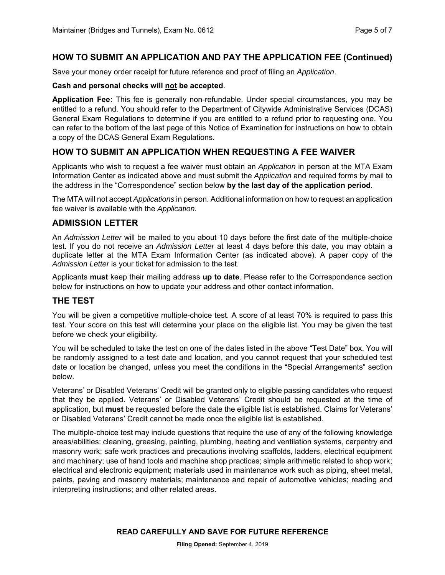#### **HOW TO SUBMIT AN APPLICATION AND PAY THE APPLICATION FEE (Continued)**

Save your money order receipt for future reference and proof of filing an *Application*.

#### **Cash and personal checks will not be accepted**.

**Application Fee:** This fee is generally non-refundable. Under special circumstances, you may be entitled to a refund. You should refer to the Department of Citywide Administrative Services (DCAS) General Exam Regulations to determine if you are entitled to a refund prior to requesting one. You can refer to the bottom of the last page of this Notice of Examination for instructions on how to obtain a copy of the DCAS General Exam Regulations.

# **HOW TO SUBMIT AN APPLICATION WHEN REQUESTING A FEE WAIVER**

Applicants who wish to request a fee waiver must obtain an *Application* in person at the MTA Exam Information Center as indicated above and must submit the *Application* and required forms by mail to the address in the "Correspondence" section below **by the last day of the application period**.

The MTA will not accept *Applications* in person. Additional information on how to request an application fee waiver is available with the *Application.*

#### **ADMISSION LETTER**

An *Admission Letter* will be mailed to you about 10 days before the first date of the multiple-choice test. If you do not receive an *Admission Letter* at least 4 days before this date, you may obtain a duplicate letter at the MTA Exam Information Center (as indicated above). A paper copy of the *Admission Letter* is your ticket for admission to the test.

Applicants **must** keep their mailing address **up to date**. Please refer to the Correspondence section below for instructions on how to update your address and other contact information.

### **THE TEST**

You will be given a competitive multiple-choice test. A score of at least 70% is required to pass this test. Your score on this test will determine your place on the eligible list. You may be given the test before we check your eligibility.

You will be scheduled to take the test on one of the dates listed in the above "Test Date" box. You will be randomly assigned to a test date and location, and you cannot request that your scheduled test date or location be changed, unless you meet the conditions in the "Special Arrangements" section below.

Veterans' or Disabled Veterans' Credit will be granted only to eligible passing candidates who request that they be applied. Veterans' or Disabled Veterans' Credit should be requested at the time of application, but **must** be requested before the date the eligible list is established. Claims for Veterans' or Disabled Veterans' Credit cannot be made once the eligible list is established.

The multiple-choice test may include questions that require the use of any of the following knowledge areas/abilities: cleaning, greasing, painting, plumbing, heating and ventilation systems, carpentry and masonry work; safe work practices and precautions involving scaffolds, ladders, electrical equipment and machinery; use of hand tools and machine shop practices; simple arithmetic related to shop work; electrical and electronic equipment; materials used in maintenance work such as piping, sheet metal, paints, paving and masonry materials; maintenance and repair of automotive vehicles; reading and interpreting instructions; and other related areas.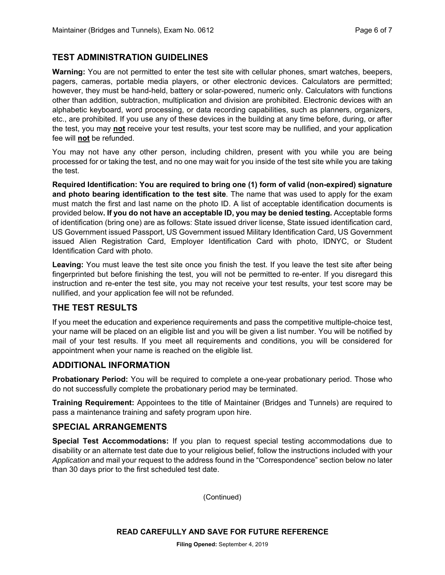### **TEST ADMINISTRATION GUIDELINES**

**Warning:** You are not permitted to enter the test site with cellular phones, smart watches, beepers, pagers, cameras, portable media players, or other electronic devices. Calculators are permitted; however, they must be hand-held, battery or solar-powered, numeric only. Calculators with functions other than addition, subtraction, multiplication and division are prohibited. Electronic devices with an alphabetic keyboard, word processing, or data recording capabilities, such as planners, organizers, etc., are prohibited. If you use any of these devices in the building at any time before, during, or after the test, you may **not** receive your test results, your test score may be nullified, and your application fee will **not** be refunded.

You may not have any other person, including children, present with you while you are being processed for or taking the test, and no one may wait for you inside of the test site while you are taking the test.

**Required Identification: You are required to bring one (1) form of valid (non-expired) signature and photo bearing identification to the test site**. The name that was used to apply for the exam must match the first and last name on the photo ID. A list of acceptable identification documents is provided below**. If you do not have an acceptable ID, you may be denied testing.** Acceptable forms of identification (bring one) are as follows: State issued driver license, State issued identification card, US Government issued Passport, US Government issued Military Identification Card, US Government issued Alien Registration Card, Employer Identification Card with photo, IDNYC, or Student Identification Card with photo.

**Leaving:** You must leave the test site once you finish the test. If you leave the test site after being fingerprinted but before finishing the test, you will not be permitted to re-enter. If you disregard this instruction and re-enter the test site, you may not receive your test results, your test score may be nullified, and your application fee will not be refunded.

### **THE TEST RESULTS**

If you meet the education and experience requirements and pass the competitive multiple-choice test, your name will be placed on an eligible list and you will be given a list number. You will be notified by mail of your test results. If you meet all requirements and conditions, you will be considered for appointment when your name is reached on the eligible list.

### **ADDITIONAL INFORMATION**

**Probationary Period:** You will be required to complete a one-year probationary period. Those who do not successfully complete the probationary period may be terminated.

**Training Requirement:** Appointees to the title of Maintainer (Bridges and Tunnels) are required to pass a maintenance training and safety program upon hire.

### **SPECIAL ARRANGEMENTS**

**Special Test Accommodations:** If you plan to request special testing accommodations due to disability or an alternate test date due to your religious belief, follow the instructions included with your *Application* and mail your request to the address found in the "Correspondence" section below no later than 30 days prior to the first scheduled test date.

(Continued)